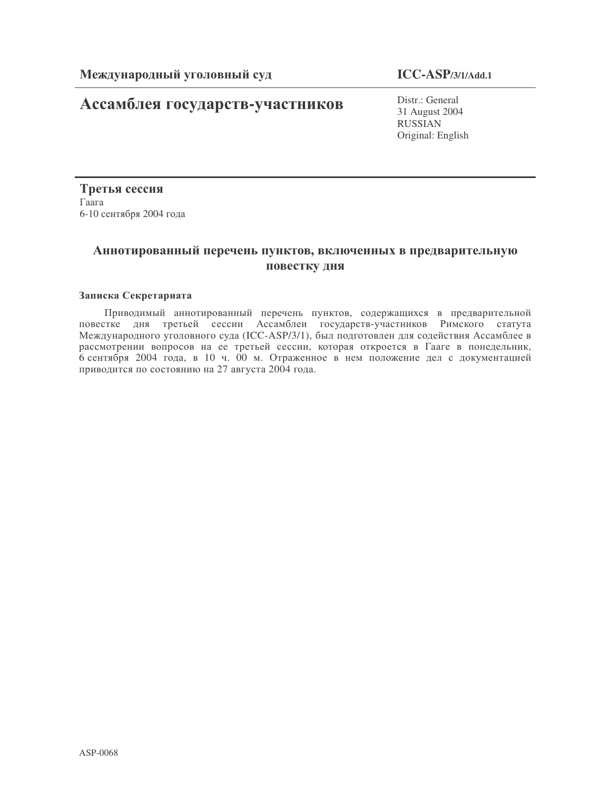# Ассамблея государств-участников

Distr.: General 31 August 2004 RUSSIAN Original: English

Третья сессия  $\Gamma$ aara 6-10 сентября 2004 года

# Аннотированный перечень пунктов, включенных в предварительную повестку дня

# Записка Секретариата

Приводимый аннотированный перечень пунктов, содержащихся в предварительной повестке дня третьей сессии Ассамблеи государств-участников Римского статута Международного уголовного суда (ICC-ASP/3/1), был подготовлен для содействия Ассамблее в рассмотрении вопросов на ее третьей сессии, которая откроется в Гааге в понедельник, 6 сентября 2004 года, в 10 ч. 00 м. Отраженное в нем положение дел с документацией приводится по состоянию на 27 августа 2004 года.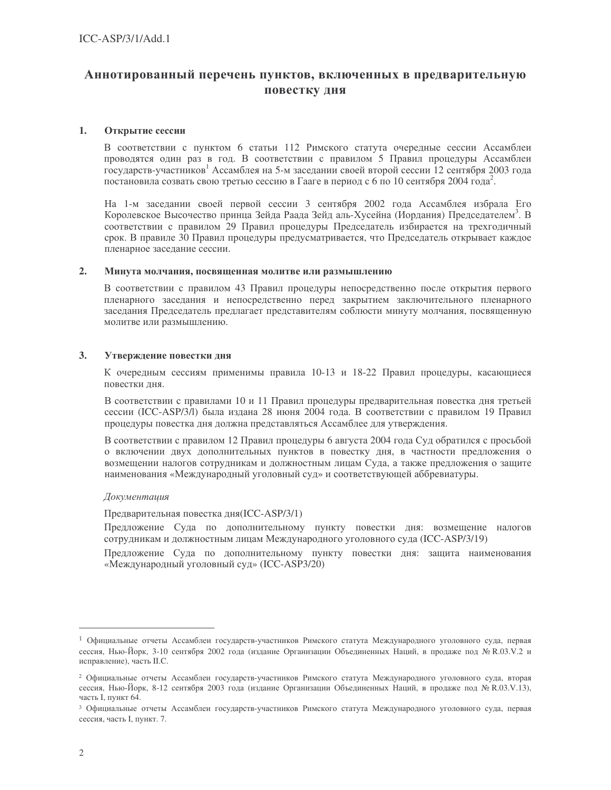# Аннотированный перечень пунктов, включенных в предварительную повестку дня

#### 1. Открытие сессии

В соответствии с пунктом 6 статьи 112 Римского статута очередные сессии Ассамблеи проводятся один раз в год. В соответствии с правилом 5 Правил процедуры Ассамблеи государств-участников<sup>1</sup> Ассамблея на 5-м заседании своей второй сессии 12 сентября 2003 года постановила созвать свою третью сессию в Гааге в период с 6 по 10 сентября 2004 года<sup>2</sup>.

На 1-м заседании своей первой сессии 3 сентября 2002 года Ассамблея избрала Его Королевское Высочество принца Зейда Раада Зейд аль-Хусейна (Иордания) Председателем<sup>3</sup>. В соответствии с правилом 29 Правил процедуры Председатель избирается на трехгодичный срок. В правиле 30 Правил процедуры предусматривается, что Председатель открывает каждое пленарное заседание сессии.

#### $2.$ Минута молчания, посвященная молитве или размышлению

В соответствии с правилом 43 Правил процедуры непосредственно после открытия первого пленарного заседания и непосредственно перед закрытием заключительного пленарного заседания Председатель предлагает представителям соблюсти минуту молчания, посвященную молитве или размышлению.

#### 3. Утверждение повестки дня

К очередным сессиям применимы правила 10-13 и 18-22 Правил процедуры, касающиеся повестки дня.

В соответствии с правилами 10 и 11 Правил процедуры предварительная повестка дня третьей сессии (ICC-ASP/3/1) была издана 28 июня 2004 года. В соответствии с правилом 19 Правил процедуры повестка дня должна представляться Ассамблее для утверждения.

В соответствии с правилом 12 Правил процедуры 6 августа 2004 года Суд обратился с просьбой о включении двух дополнительных пунктов в повестку дня, в частности предложения о возмещении налогов сотрудникам и должностным лицам Суда, а также предложения о защите наименования «Международный уголовный суд» и соответствующей аббревиатуры.

## Документация

Предварительная повестка дня(ICC-ASP/3/1)

Предложение Суда по дополнительному пункту повестки дня: возмещение налогов сотрудникам и должностным лицам Международного уголовного суда (ICC-ASP/3/19)

Предложение Суда по дополнительному пункту повестки дня: защита наименования «Международный уголовный суд» (ICC-ASP3/20)

<sup>1</sup> Официальные отчеты Ассамблеи государств-участников Римского статута Международного уголовного суда, первая сессия, Нью-Йорк, 3-10 сентября 2002 года (издание Организации Объединенных Наций, в продаже под № R.03.V.2 и исправление), часть II.С.

<sup>2</sup> Официальные отчеты Ассамблеи государств-участников Римского статута Международного уголовного суда, вторая сессия, Нью-Йорк, 8-12 сентября 2003 года (издание Организации Объединенных Наций, в продаже под № R.03.V.13), часть I, пункт 64.

<sup>3</sup> Официальные отчеты Ассамблеи государств-участников Римского статута Международного уголовного суда, первая сессия, часть I, пункт. 7.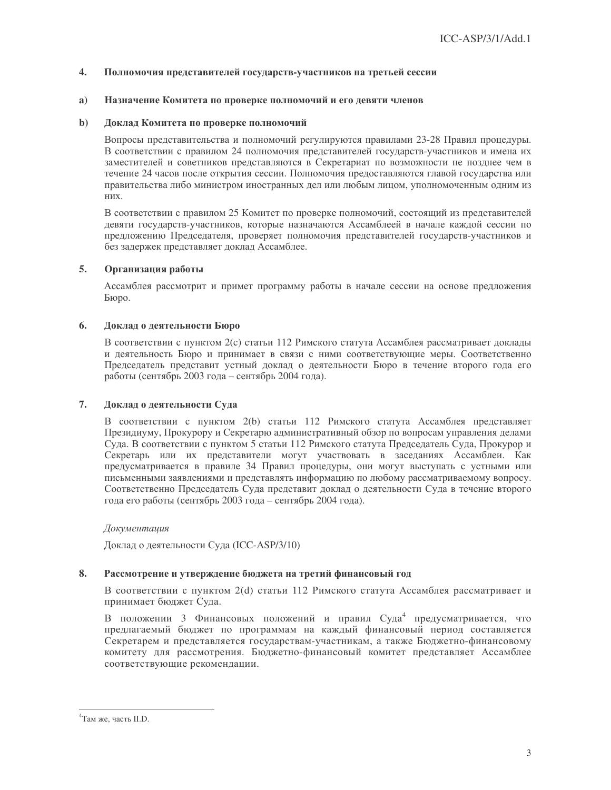#### $\overline{4}$ . Полномочия представителей государств-участников на третьей сессии

#### a) Назначение Комитета по проверке полномочий и его девяти членов

#### $\mathbf{b}$ Доклад Комитета по проверке полномочий

Вопросы представительства и полномочий регулируются правилами 23-28 Правил процедуры. В соответствии с правилом 24 полномочия представителей государств-участников и имена их заместителей и советников представляются в Секретариат по возможности не позднее чем в течение 24 часов после открытия сессии. Полномочия предоставляются главой государства или правительства либо министром иностранных дел или любым лицом, уполномоченным одним из них.

В соответствии с правилом 25 Комитет по проверке полномочий, состоящий из представителей девяти государств-участников, которые назначаются Ассамблеей в начале каждой сессии по предложению Председателя, проверяет полномочия представителей государств-участников и без задержек представляет доклад Ассамблее.

#### $5.$ Организация работы

Ассамблея рассмотрит и примет программу работы в начале сессии на основе предложения Бюро.

#### 6. Доклад о деятельности Бюро

В соответствии с пунктом 2(с) статьи 112 Римского статута Ассамблея рассматривает локлалы и деятельность Бюро и принимает в связи с ними соответствующие меры. Соответственно Председатель представит устный доклад о деятельности Бюро в течение второго года его работы (сентябрь 2003 года – сентябрь 2004 года).

#### $7.$ Доклад о деятельности Суда

В соответствии с пунктом 2(b) статьи 112 Римского статута Ассамблея представляет Президиуму, Прокурору и Секретарю административный обзор по вопросам управления делами Суда. В соответствии с пунктом 5 статьи 112 Римского статута Председатель Суда, Прокурор и Секретарь или их представители могут участвовать в заседаниях Ассамблеи. Как предусматривается в правиле 34 Правил процедуры, они могут выступать с устными или письменными заявлениями и представлять информацию по любому рассматриваемому вопросу. Соответственно Председатель Суда представит доклад о деятельности Суда в течение второго года его работы (сентябрь 2003 года - сентябрь 2004 года).

#### Документация

Доклад о деятельности Суда (ICC-ASP/3/10)

#### 8. Рассмотрение и утверждение бюджета на третий финансовый год

В соответствии с пунктом 2(d) статьи 112 Римского статута Ассамблея рассматривает и принимает бюджет Суда.

В положении 3 Финансовых положений и правил Суда<sup>4</sup> предусматривается, что предлагаемый бюджет по программам на каждый финансовый период составляется Секретарем и представляется государствам-участникам, а также Бюджетно-финансовому комитету для рассмотрения. Бюджетно-финансовый комитет представляет Ассамблее соответствующие рекомендации.

<sup>&</sup>lt;sup>4</sup>Там же, часть II.D.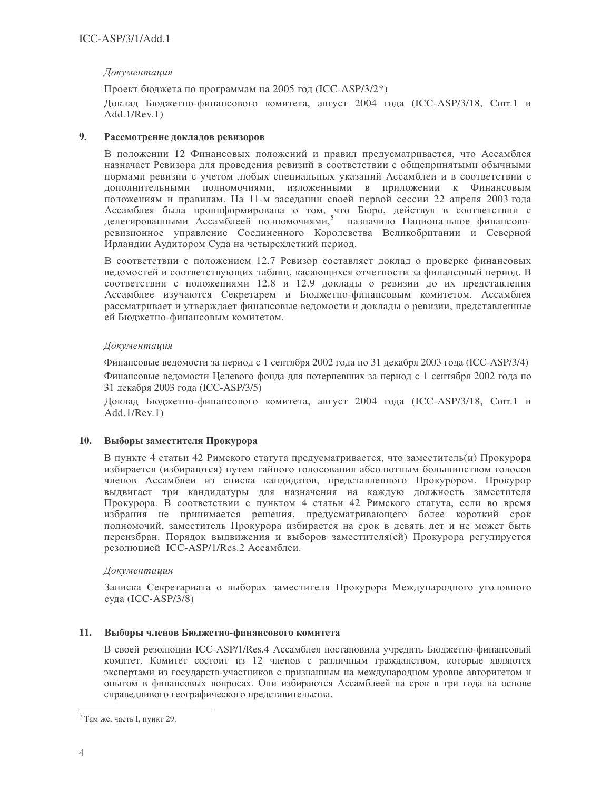# Документация

Проект бюджета по программам на 2005 год (ICC-ASP/3/2<sup>\*</sup>) Доклад Бюджетно-финансового комитета, август 2004 года (ICC-ASP/3/18, Corr.1 и  $Add.1/Rev.1)$ 

#### 9. Рассмотрение докладов ревизоров

В положении 12 Финансовых положений и правил предусматривается, что Ассамблея назначает Ревизора для проведения ревизий в соответствии с общепринятыми обычными нормами ревизии с учетом любых специальных указаний Ассамблеи и в соответствии с дополнительными полномочиями, изложенными в приложении к Финансовым положениям и правилам. На 11-м заседании своей первой сессии 22 апреля 2003 года Ассамблея была проинформирована о том, что Бюро, действуя в соответствии с делегированными Ассамблеей полномочиями,<sup>5</sup> назначило Национальное финансоворевизионное управление Соединенного Королевства Великобритании и Северной Ирландии Аудитором Суда на четырехлетний период.

В соответствии с положением 12.7 Ревизор составляет доклад о проверке финансовых ведомостей и соответствующих таблиц, касающихся отчетности за финансовый период. В соответствии с положениями 12.8 и 12.9 доклады о ревизии до их представления Ассамблее изучаются Секретарем и Бюджетно-финансовым комитетом. Ассамблея рассматривает и утверждает финансовые ведомости и доклады о ревизии, представленные ей Бюджетно-финансовым комитетом.

## Документация

Финансовые ведомости за период с 1 сентября 2002 года по 31 декабря 2003 года (ICC-ASP/3/4) Финансовые ведомости Целевого фонда для потерпевших за период с 1 сентября 2002 года по 31 декабря 2003 года (ICC-ASP/3/5)

Доклад Бюджетно-финансового комитета, август 2004 года (ICC-ASP/3/18, Corr.1 и  $Add.1/Rev.1)$ 

# 10. Выборы заместителя Прокурора

В пункте 4 статьи 42 Римского статута предусматривается, что заместитель(и) Прокурора избирается (избираются) путем тайного голосования абсолютным большинством голосов членов Ассамблеи из списка кандидатов, представленного Прокурором. Прокурор выдвигает три кандидатуры для назначения на каждую должность заместителя Прокурора. В соответствии с пунктом 4 статьи 42 Римского статута, если во время избрания не принимается решения, предусматривающего более короткий срок полномочий, заместитель Прокурора избирается на срок в девять лет и не может быть переизбран. Порядок выдвижения и выборов заместителя (ей) Прокурора регулируется резолюцией ICC-ASP/1/Res.2 Ассамблеи.

## Документация

Записка Секретариата о выборах заместителя Прокурора Международного уголовного суда (ICC-ASP/3/8)

## 11. Выборы членов Бюджетно-финансового комитета

В своей резолюции ICC-ASP/1/Res.4 Ассамблея постановила учредить Бюджетно-финансовый комитет. Комитет состоит из 12 членов с различным гражданством, которые являются экспертами из государств-участников с признанным на международном уровне авторитетом и опытом в финансовых вопросах. Они избираются Ассамблеей на срок в три года на основе справедливого географического представительства.

 $5$  Там же, часть I, пункт 29.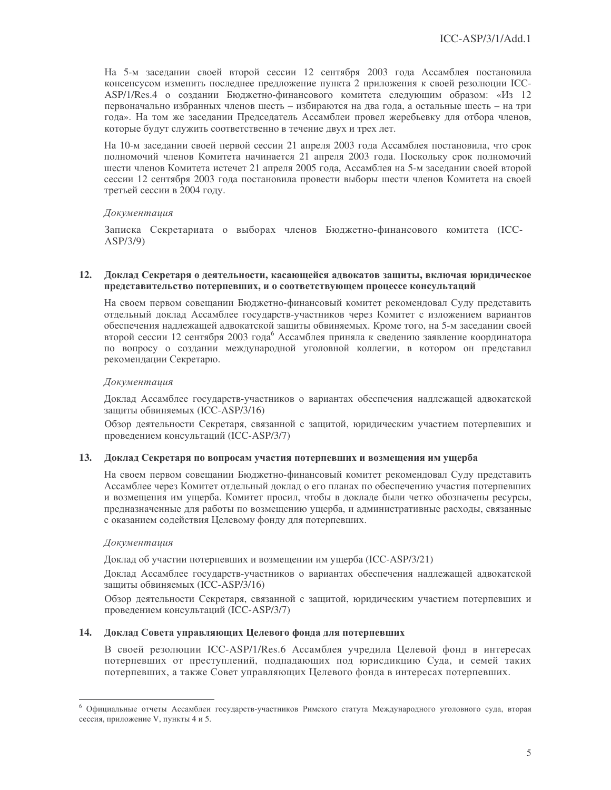На 5-м заседании своей второй сессии 12 сентября 2003 года Ассамблея постановила консенсусом изменить последнее предложение пункта 2 приложения к своей резолюции ICC-ASP/1/Res.4 о создании Бюджетно-финансового комитета следующим образом: «Из 12 первоначально избранных членов шесть - избираются на два года, а остальные шесть - на три года». На том же заседании Председатель Ассамблеи провел жеребьевку для отбора членов, которые будут служить соответственно в течение двух и трех лет.

На 10-м заседании своей первой сессии 21 апреля 2003 года Ассамблея постановила, что срок полномочий членов Комитета начинается 21 апреля 2003 года. Поскольку срок полномочий шести членов Комитета истечет 21 апреля 2005 года, Ассамблея на 5-м заседании своей второй сессии 12 сентября 2003 года постановила провести выборы шести членов Комитета на своей третьей сессии в 2004 году.

### Документация

Записка Секретариата о выборах членов Бюджетно-финансового комитета (ICC- $ASP/3/9)$ 

#### $12.$ Доклад Секретаря о деятельности, касающейся адвокатов защиты, включая юридическое представительство потерпевших, и о соответствующем процессе консультаций

На своем первом совещании Бюджетно-финансовый комитет рекомендовал Суду представить отдельный доклад Ассамблее государств-участников через Комитет с изложением вариантов обеспечения надлежащей адвокатской защиты обвиняемых. Кроме того, на 5-м заседании своей второй сессии 12 сентября 2003 года<sup>6</sup> Ассамблея приняла к сведению заявление координатора по вопросу о создании международной уголовной коллегии, в котором он представил рекомендации Секретарю.

### Документация

Доклад Ассамблее государств-участников о вариантах обеспечения надлежащей адвокатской защиты обвиняемых (ICC-ASP/3/16)

Обзор деятельности Секретаря, связанной с защитой, юридическим участием потерпевших и проведением консультаций (ICC-ASP/3/7)

#### 13. Доклад Секретаря по вопросам участия потерпевших и возмещения им ущерба

На своем первом совещании Бюджетно-финансовый комитет рекомендовал Суду представить Ассамблее через Комитет отдельный доклад о его планах по обеспечению участия потерпевших и возмещения им ущерба. Комитет просил, чтобы в докладе были четко обозначены ресурсы, предназначенные для работы по возмещению ущерба, и административные расходы, связанные с оказанием содействия Целевому фонду для потерпевших.

### Документация

Доклад об участии потерпевших и возмещении им ущерба (ICC-ASP/3/21)

Доклад Ассамблее государств-участников о вариантах обеспечения надлежащей адвокатской защиты обвиняемых (ICC-ASP/3/16)

Обзор деятельности Секретаря, связанной с защитой, юридическим участием потерпевших и проведением консультаций (ICC-ASP/3/7)

## 14. Доклад Совета управляющих Целевого фонда для потерпевших

В своей резолюции ICC-ASP/1/Res.6 Ассамблея учредила Целевой фонд в интересах потерпевших от преступлений, подпадающих под юрисдикцию Суда, и семей таких потерпевших, а также Совет управляющих Целевого фонда в интересах потерпевших.

<sup>&</sup>lt;sup>6</sup> Официальные отчеты Ассамблеи государств-участников Римского статута Международного уголовного суда, вторая сессия, приложение V, пункты 4 и 5.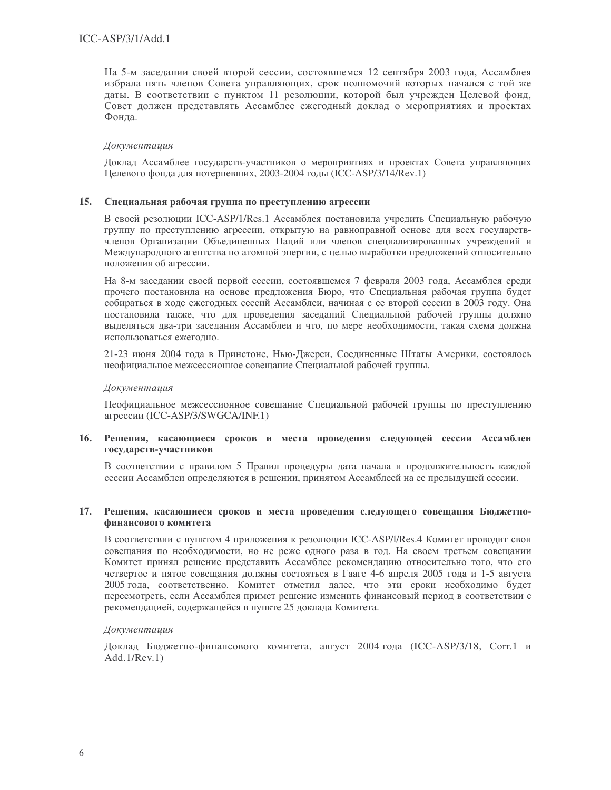На 5-м заседании своей второй сессии, состоявшемся 12 сентября 2003 года, Ассамблея избрала пять членов Совета управляющих, срок полномочий которых начался с той же даты. В соответствии с пунктом 11 резолюции, которой был учрежден Целевой фонд, Совет должен представлять Ассамблее ежегодный доклад о мероприятиях и проектах Фонда.

### Документация

Доклад Ассамблее государств-участников о мероприятиях и проектах Совета управляющих Целевого фонда для потерпевших, 2003-2004 годы (ICC-ASP/3/14/Rev.1)

#### 15. Специальная рабочая группа по преступлению агрессии

В своей резолюции ICC-ASP/1/Res.1 Ассамблея постановила учредить Специальную рабочую группу по преступлению агрессии, открытую на равноправной основе для всех государствчленов Организации Объединенных Наций или членов специализированных учреждений и Международного агентства по атомной энергии, с целью выработки предложений относительно положения об агрессии.

На 8-м заседании своей первой сессии, состоявшемся 7 февраля 2003 года, Ассамблея среди прочего постановила на основе предложения Бюро, что Специальная рабочая группа будет собираться в ходе ежегодных сессий Ассамблеи, начиная с ее второй сессии в 2003 году. Она постановила также, что для проведения заседаний Специальной рабочей группы должно выделяться два-три заседания Ассамблеи и что, по мере необходимости, такая схема должна использоваться ежегодно.

21-23 июня 2004 года в Принстоне, Нью-Джерси, Соединенные Штаты Америки, состоялось неофициальное межсессионное совещание Специальной рабочей группы.

### Документашия

Неофициальное межсессионное совещание Специальной рабочей группы по преступлению агрессии (ICC-ASP/3/SWGCA/INF.1)

### 16. Решения, касающиеся сроков и места проведения следующей сессии Ассамблеи государств-участников

В соответствии с правилом 5 Правил процедуры дата начала и продолжительность каждой сессии Ассамблеи определяются в решении, принятом Ассамблеей на ее предыдущей сессии.

### 17. Решения, касающиеся сроков и места проведения следующего совещания Бюджетнофинансового комитета

В соответствии с пунктом 4 приложения к резолюции ICC-ASP/I/Res.4 Комитет проводит свои совещания по необходимости, но не реже одного раза в год. На своем третьем совещании Комитет принял решение представить Ассамблее рекомендацию относительно того, что его четвертое и пятое совещания должны состояться в Гааге 4-6 апреля 2005 года и 1-5 августа 2005 года, соответственно. Комитет отметил далее, что эти сроки необходимо будет пересмотреть, если Ассамблея примет решение изменить финансовый период в соответствии с рекомендацией, содержащейся в пункте 25 доклада Комитета.

#### Документация

Доклад Бюджетно-финансового комитета, август 2004 года (ICC-ASP/3/18, Corr.1 и  $Add.1/Rev.1)$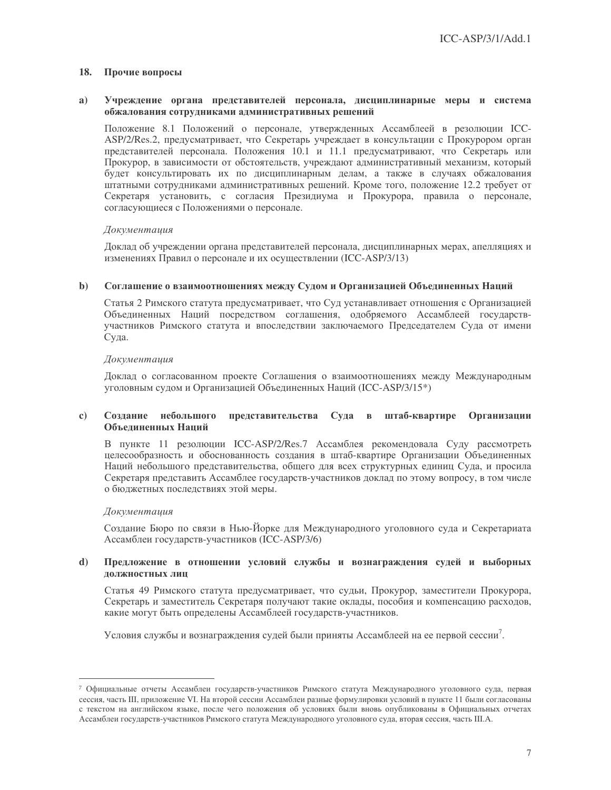#### 18. Прочие вопросы

#### Учреждение органа представителей персонала, дисциплинарные меры и система  $a)$ обжалования сотрудниками административных решений

Положение 8.1 Положений о персонале, утвержденных Ассамблеей в резолюции ICC-ASP/2/Res.2, предусматривает, что Секретарь учреждает в консультации с Прокурором орган представителей персонала. Положения 10.1 и 11.1 предусматривают, что Секретарь или Прокурор, в зависимости от обстоятельств, учреждают административный механизм, который будет консультировать их по дисциплинарным делам, а также в случаях обжалования штатными сотрудниками административных решений. Кроме того, положение 12.2 требует от Секретаря установить, с согласия Президиума и Прокурора, правила о персонале, согласующиеся с Положениями о персонале.

## Документация

Доклад об учреждении органа представителей персонала, дисциплинарных мерах, апелляциях и изменениях Правил о персонале и их осуществлении (ICC-ASP/3/13)

#### $\mathbf{b}$ Соглашение о взаимоотношениях между Судом и Организацией Объединенных Наций

Статья 2 Римского статута предусматривает, что Суд устанавливает отношения с Организацией Объединенных Наций посредством соглашения, одобряемого Ассамблеей государствучастников Римского статута и впоследствии заключаемого Председателем Суда от имени Суда.

### Документация

Доклад о согласованном проекте Соглашения о взаимоотношениях между Международным уголовным судом и Организацией Объединенных Наций (ICC-ASP/3/15<sup>\*</sup>)

#### $\mathbf{c}$ Создание небольшого представительства Суда в штаб-квартире Организации Объелиненных Наций

В пункте 11 резолюции ICC-ASP/2/Res.7 Ассамблея рекомендовала Суду рассмотреть целесообразность и обоснованность создания в штаб-квартире Организации Объединенных Наций небольшого представительства, общего для всех структурных единиц Суда, и просила Секретаря представить Ассамблее государств-участников доклад по этому вопросу, в том числе о бюджетных последствиях этой меры.

#### Документация

Создание Бюро по связи в Нью-Йорке для Международного уголовного суда и Секретариата Ассамблеи государств-участников (ICC-ASP/3/6)

#### $\mathbf{d}$ Предложение в отношении условий службы и вознаграждения судей и выборных должностных лиц

Статья 49 Римского статута предусматривает, что судьи, Прокурор, заместители Прокурора, Секретарь и заместитель Секретаря получают такие оклады, пособия и компенсацию расходов, какие могут быть определены Ассамблеей государств-участников.

Условия службы и вознаграждения судей были приняты Ассамблеей на ее первой сессии<sup>7</sup>.

<sup>7</sup> Официальные отчеты Ассамблеи государств-участников Римского статута Международного уголовного суда, первая сессия, часть III, приложение VI. На второй сессии Ассамблеи разные формулировки условий в пункте 11 были согласованы с текстом на английском языке, после чего положения об условиях были вновь опубликованы в Официальных отчетах Ассамблеи государств-участников Римского статута Международного уголовного суда, вторая сессия, часть III.А.